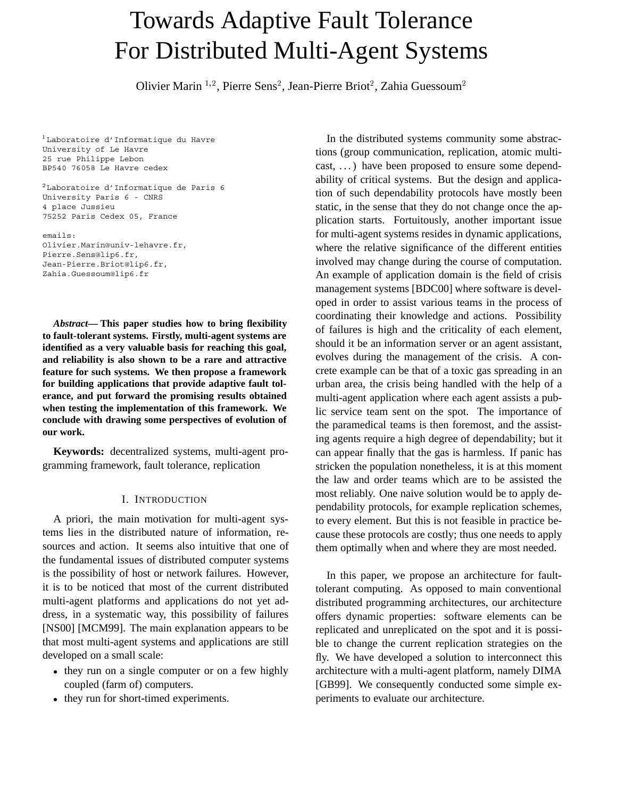# Towards Adaptive Fault Tolerance For Distributed Multi-Agent Systems

Olivier Marin <sup>1,2</sup>, Pierre Sens<sup>2</sup>, Jean-Pierre Briot<sup>2</sup>, Zahia Guessoum<sup>2</sup>

<sup>1</sup> Laboratoire d'Informatique du Havre University of Le Havre 25 rue Philippe Lebon BP540 76058 Le Havre cedex

<sup>2</sup> Laboratoire d'Informatique de Paris 6 University Paris 6 - CNRS 4 place Jussieu 75252 Paris Cedex 05, France

emails: Olivier.Marin@univ-lehavre.fr, Pierre.Sens@lip6.fr, Jean-Pierre.Briot@lip6.fr, Zahia.Guessoum@lip6.fr

*Abstract***— This paper studies how to bring flexibility to fault-tolerant systems. Firstly, multi-agent systems are identified as a very valuable basis for reaching this goal, and reliability is also shown to be a rare and attractive feature for such systems. We then propose a framework for building applications that provide adaptive fault tolerance, and put forward the promising results obtained when testing the implementation of this framework. We conclude with drawing some perspectives of evolution of our work.**

**Keywords:** decentralized systems, multi-agent programming framework, fault tolerance, replication

# I. INTRODUCTION

A priori, the main motivation for multi-agent systems lies in the distributed nature of information, resources and action. It seems also intuitive that one of the fundamental issues of distributed computer systems is the possibility of host or network failures. However, it is to be noticed that most of the current distributed multi-agent platforms and applications do not yet address, in a systematic way, this possibility of failures [NS00] [MCM99]. The main explanation appears to be that most multi-agent systems and applications are still developed on a small scale:

- they run on a single computer or on a few highly coupled (farm of) computers.
- they run for short-timed experiments.

In the distributed systems community some abstractions (group communication, replication, atomic multicast, . . . ) have been proposed to ensure some dependability of critical systems. But the design and application of such dependability protocols have mostly been static, in the sense that they do not change once the application starts. Fortuitously, another important issue for multi-agent systems resides in dynamic applications, where the relative significance of the different entities involved may change during the course of computation. An example of application domain is the field of crisis management systems [BDC00] where software is developed in order to assist various teams in the process of coordinating their knowledge and actions. Possibility of failures is high and the criticality of each element, should it be an information server or an agent assistant, evolves during the management of the crisis. A concrete example can be that of a toxic gas spreading in an urban area, the crisis being handled with the help of a multi-agent application where each agent assists a public service team sent on the spot. The importance of the paramedical teams is then foremost, and the assisting agents require a high degree of dependability; but it can appear finally that the gas is harmless. If panic has stricken the population nonetheless, it is at this moment the law and order teams which are to be assisted the most reliably. One naive solution would be to apply dependability protocols, for example replication schemes, to every element. But this is not feasible in practice because these protocols are costly; thus one needs to apply them optimally when and where they are most needed.

In this paper, we propose an architecture for faulttolerant computing. As opposed to main conventional distributed programming architectures, our architecture offers dynamic properties: software elements can be replicated and unreplicated on the spot and it is possible to change the current replication strategies on the fly. We have developed a solution to interconnect this architecture with a multi-agent platform, namely DIMA [GB99]. We consequently conducted some simple experiments to evaluate our architecture.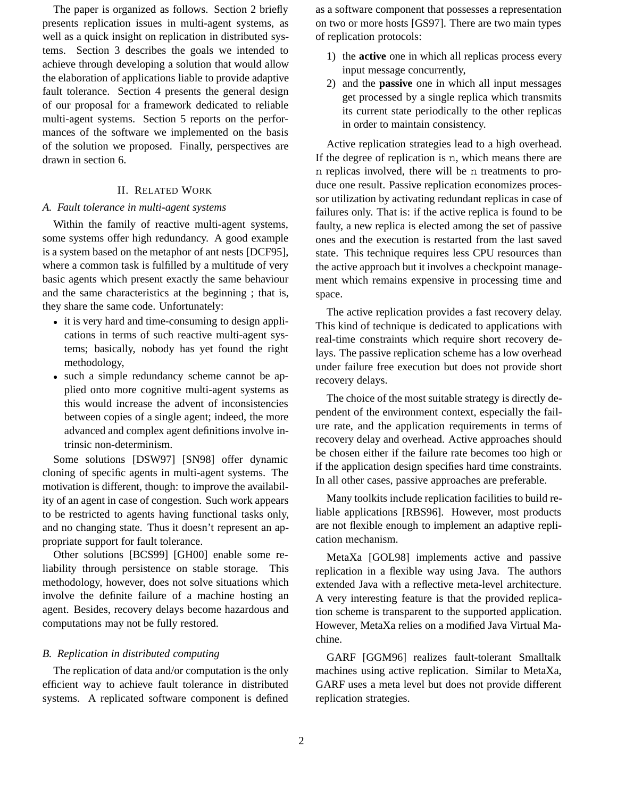The paper is organized as follows. Section 2 briefly presents replication issues in multi-agent systems, as well as a quick insight on replication in distributed systems. Section 3 describes the goals we intended to achieve through developing a solution that would allow the elaboration of applications liable to provide adaptive fault tolerance. Section 4 presents the general design of our proposal for a framework dedicated to reliable multi-agent systems. Section 5 reports on the performances of the software we implemented on the basis of the solution we proposed. Finally, perspectives are drawn in section 6.

## II. RELATED WORK

## *A. Fault tolerance in multi-agent systems*

Within the family of reactive multi-agent systems, some systems offer high redundancy. A good example is a system based on the metaphor of ant nests [DCF95], where a common task is fulfilled by a multitude of very basic agents which present exactly the same behaviour and the same characteristics at the beginning ; that is, they share the same code. Unfortunately:

- it is very hard and time-consuming to design applications in terms of such reactive multi-agent systems; basically, nobody has yet found the right methodology,
- such a simple redundancy scheme cannot be applied onto more cognitive multi-agent systems as this would increase the advent of inconsistencies between copies of a single agent; indeed, the more advanced and complex agent definitions involve intrinsic non-determinism.

Some solutions [DSW97] [SN98] offer dynamic cloning of specific agents in multi-agent systems. The motivation is different, though: to improve the availability of an agent in case of congestion. Such work appears to be restricted to agents having functional tasks only, and no changing state. Thus it doesn't represent an appropriate support for fault tolerance.

Other solutions [BCS99] [GH00] enable some reliability through persistence on stable storage. This methodology, however, does not solve situations which involve the definite failure of a machine hosting an agent. Besides, recovery delays become hazardous and computations may not be fully restored.

# *B. Replication in distributed computing*

The replication of data and/or computation is the only efficient way to achieve fault tolerance in distributed systems. A replicated software component is defined

as a software component that possesses a representation on two or more hosts [GS97]. There are two main types of replication protocols:

- 1) the **active** one in which all replicas process every input message concurrently,
- 2) and the **passive** one in which all input messages get processed by a single replica which transmits its current state periodically to the other replicas in order to maintain consistency.

Active replication strategies lead to a high overhead. If the degree of replication is n, which means there are n replicas involved, there will be n treatments to produce one result. Passive replication economizes processor utilization by activating redundant replicas in case of failures only. That is: if the active replica is found to be faulty, a new replica is elected among the set of passive ones and the execution is restarted from the last saved state. This technique requires less CPU resources than the active approach but it involves a checkpoint management which remains expensive in processing time and space.

The active replication provides a fast recovery delay. This kind of technique is dedicated to applications with real-time constraints which require short recovery delays. The passive replication scheme has a low overhead under failure free execution but does not provide short recovery delays.

The choice of the most suitable strategy is directly dependent of the environment context, especially the failure rate, and the application requirements in terms of recovery delay and overhead. Active approaches should be chosen either if the failure rate becomes too high or if the application design specifies hard time constraints. In all other cases, passive approaches are preferable.

Many toolkits include replication facilities to build reliable applications [RBS96]. However, most products are not flexible enough to implement an adaptive replication mechanism.

MetaXa [GOL98] implements active and passive replication in a flexible way using Java. The authors extended Java with a reflective meta-level architecture. A very interesting feature is that the provided replication scheme is transparent to the supported application. However, MetaXa relies on a modified Java Virtual Machine.

GARF [GGM96] realizes fault-tolerant Smalltalk machines using active replication. Similar to MetaXa, GARF uses a meta level but does not provide different replication strategies.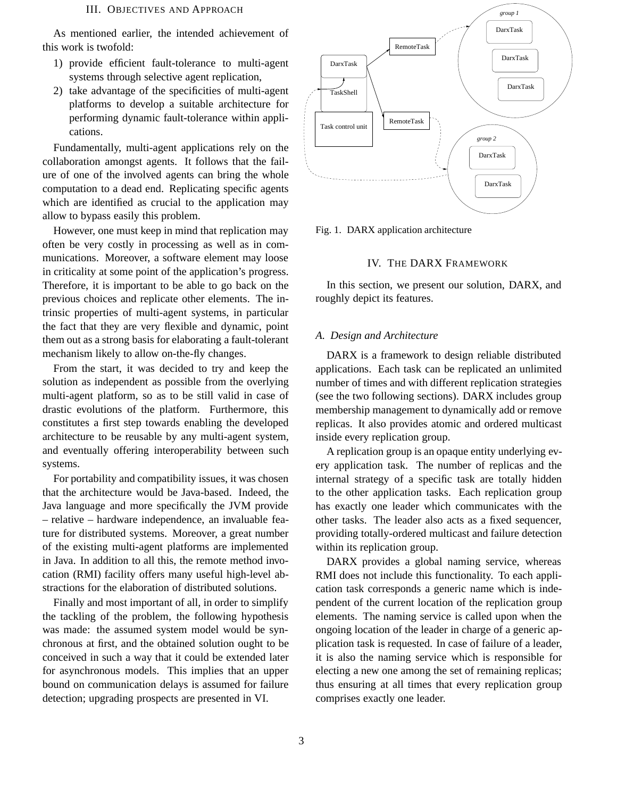As mentioned earlier, the intended achievement of this work is twofold:

- 1) provide efficient fault-tolerance to multi-agent systems through selective agent replication,
- 2) take advantage of the specificities of multi-agent platforms to develop a suitable architecture for performing dynamic fault-tolerance within applications.

Fundamentally, multi-agent applications rely on the collaboration amongst agents. It follows that the failure of one of the involved agents can bring the whole computation to a dead end. Replicating specific agents which are identified as crucial to the application may allow to bypass easily this problem.

However, one must keep in mind that replication may often be very costly in processing as well as in communications. Moreover, a software element may loose in criticality at some point of the application's progress. Therefore, it is important to be able to go back on the previous choices and replicate other elements. The intrinsic properties of multi-agent systems, in particular the fact that they are very flexible and dynamic, point them out as a strong basis for elaborating a fault-tolerant mechanism likely to allow on-the-fly changes.

From the start, it was decided to try and keep the solution as independent as possible from the overlying multi-agent platform, so as to be still valid in case of drastic evolutions of the platform. Furthermore, this constitutes a first step towards enabling the developed architecture to be reusable by any multi-agent system, and eventually offering interoperability between such systems.

For portability and compatibility issues, it was chosen that the architecture would be Java-based. Indeed, the Java language and more specifically the JVM provide – relative – hardware independence, an invaluable feature for distributed systems. Moreover, a great number of the existing multi-agent platforms are implemented in Java. In addition to all this, the remote method invocation (RMI) facility offers many useful high-level abstractions for the elaboration of distributed solutions.

Finally and most important of all, in order to simplify the tackling of the problem, the following hypothesis was made: the assumed system model would be synchronous at first, and the obtained solution ought to be conceived in such a way that it could be extended later for asynchronous models. This implies that an upper bound on communication delays is assumed for failure detection; upgrading prospects are presented in VI.



Fig. 1. DARX application architecture

#### IV. THE DARX FRAMEWORK

In this section, we present our solution, DARX, and roughly depict its features.

#### *A. Design and Architecture*

DARX is a framework to design reliable distributed applications. Each task can be replicated an unlimited number of times and with different replication strategies (see the two following sections). DARX includes group membership management to dynamically add or remove replicas. It also provides atomic and ordered multicast inside every replication group.

A replication group is an opaque entity underlying every application task. The number of replicas and the internal strategy of a specific task are totally hidden to the other application tasks. Each replication group has exactly one leader which communicates with the other tasks. The leader also acts as a fixed sequencer, providing totally-ordered multicast and failure detection within its replication group.

DARX provides a global naming service, whereas RMI does not include this functionality. To each application task corresponds a generic name which is independent of the current location of the replication group elements. The naming service is called upon when the ongoing location of the leader in charge of a generic application task is requested. In case of failure of a leader, it is also the naming service which is responsible for electing a new one among the set of remaining replicas; thus ensuring at all times that every replication group comprises exactly one leader.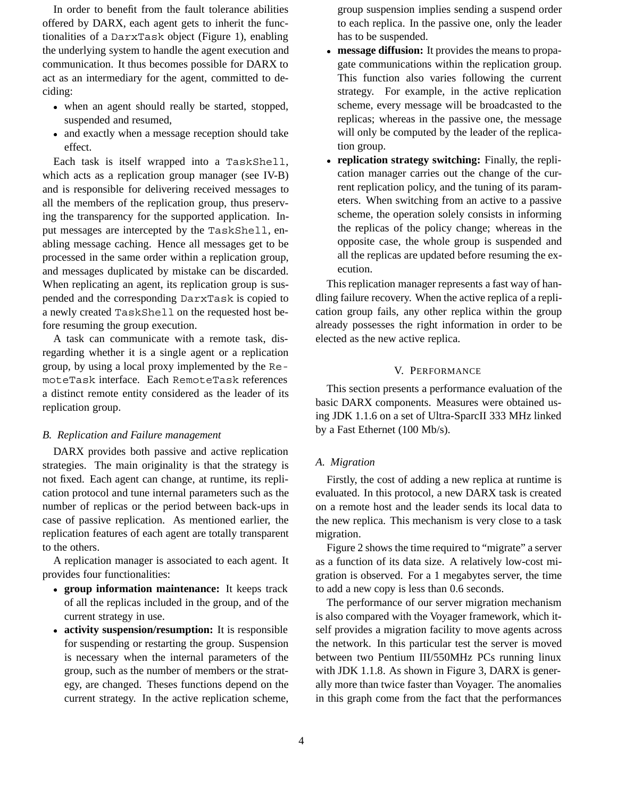In order to benefit from the fault tolerance abilities offered by DARX, each agent gets to inherit the functionalities of a DarxTask object (Figure 1), enabling the underlying system to handle the agent execution and communication. It thus becomes possible for DARX to act as an intermediary for the agent, committed to deciding:

- when an agent should really be started, stopped, suspended and resumed,
- and exactly when a message reception should take effect.

Each task is itself wrapped into a TaskShell, which acts as a replication group manager (see IV-B) and is responsible for delivering received messages to all the members of the replication group, thus preserving the transparency for the supported application. Input messages are intercepted by the TaskShell, enabling message caching. Hence all messages get to be processed in the same order within a replication group, and messages duplicated by mistake can be discarded. When replicating an agent, its replication group is suspended and the corresponding DarxTask is copied to a newly created TaskShell on the requested host before resuming the group execution.

A task can communicate with a remote task, disregarding whether it is a single agent or a replication group, by using a local proxy implemented by the RemoteTask interface. Each RemoteTask references a distinct remote entity considered as the leader of its replication group.

## *B. Replication and Failure management*

DARX provides both passive and active replication strategies. The main originality is that the strategy is not fixed. Each agent can change, at runtime, its replication protocol and tune internal parameters such as the number of replicas or the period between back-ups in case of passive replication. As mentioned earlier, the replication features of each agent are totally transparent to the others.

A replication manager is associated to each agent. It provides four functionalities:

- **group information maintenance:** It keeps track of all the replicas included in the group, and of the current strategy in use.
- **activity suspension/resumption:** It is responsible for suspending or restarting the group. Suspension is necessary when the internal parameters of the group, such as the number of members or the strategy, are changed. Theses functions depend on the current strategy. In the active replication scheme,

group suspension implies sending a suspend order to each replica. In the passive one, only the leader has to be suspended.

- **message diffusion:** It provides the means to propa- $\bullet$ gate communications within the replication group. This function also varies following the current strategy. For example, in the active replication scheme, every message will be broadcasted to the replicas; whereas in the passive one, the message will only be computed by the leader of the replication group.
- **replication strategy switching:** Finally, the replication manager carries out the change of the current replication policy, and the tuning of its parameters. When switching from an active to a passive scheme, the operation solely consists in informing the replicas of the policy change; whereas in the opposite case, the whole group is suspended and all the replicas are updated before resuming the execution.

This replication manager represents a fast way of handling failure recovery. When the active replica of a replication group fails, any other replica within the group already possesses the right information in order to be elected as the new active replica.

# V. PERFORMANCE

This section presents a performance evaluation of the basic DARX components. Measures were obtained using JDK 1.1.6 on a set of Ultra-SparcII 333 MHz linked by a Fast Ethernet (100 Mb/s).

# *A. Migration*

Firstly, the cost of adding a new replica at runtime is evaluated. In this protocol, a new DARX task is created on a remote host and the leader sends its local data to the new replica. This mechanism is very close to a task migration.

Figure 2 shows the time required to "migrate" a server as a function of its data size. A relatively low-cost migration is observed. For a 1 megabytes server, the time to add a new copy is less than 0.6 seconds.

The performance of our server migration mechanism is also compared with the Voyager framework, which itself provides a migration facility to move agents across the network. In this particular test the server is moved between two Pentium III/550MHz PCs running linux with JDK 1.1.8. As shown in Figure 3, DARX is generally more than twice faster than Voyager. The anomalies in this graph come from the fact that the performances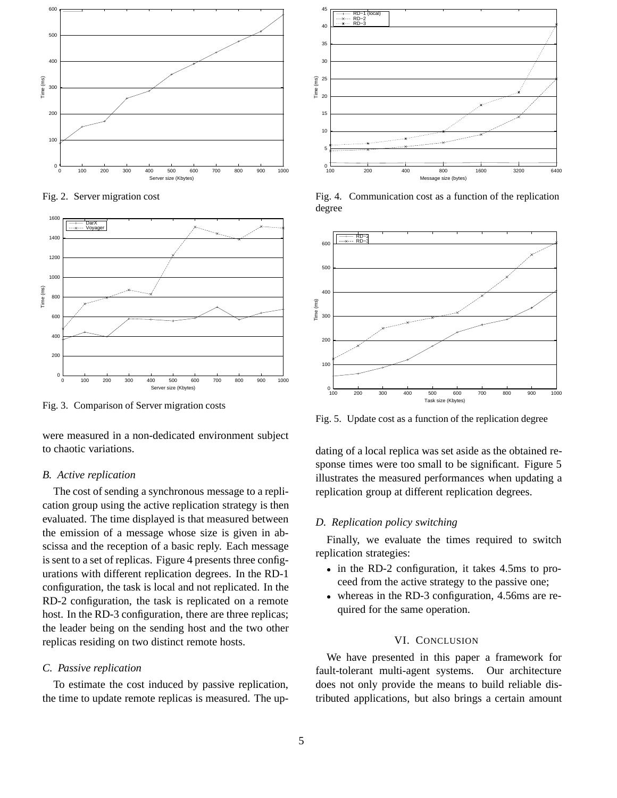

Fig. 2. Server migration cost



Fig. 3. Comparison of Server migration costs

were measured in a non-dedicated environment subject to chaotic variations.

#### *B. Active replication*

The cost of sending a synchronous message to a replication group using the active replication strategy is then evaluated. The time displayed is that measured between the emission of a message whose size is given in abscissa and the reception of a basic reply. Each message is sent to a set of replicas. Figure 4 presents three configurations with different replication degrees. In the RD-1 configuration, the task is local and not replicated. In the RD-2 configuration, the task is replicated on a remote host. In the RD-3 configuration, there are three replicas; the leader being on the sending host and the two other replicas residing on two distinct remote hosts.

#### *C. Passive replication*

To estimate the cost induced by passive replication, the time to update remote replicas is measured. The up-



Fig. 4. Communication cost as a function of the replication degree



Fig. 5. Update cost as a function of the replication degree

dating of a local replica was set aside as the obtained response times were too small to be significant. Figure 5 illustrates the measured performances when updating a replication group at different replication degrees.

## *D. Replication policy switching*

Finally, we evaluate the times required to switch replication strategies:

- in the RD-2 configuration, it takes 4.5ms to proceed from the active strategy to the passive one;
- whereas in the RD-3 configuration, 4.56ms are required for the same operation.

# VI. CONCLUSION

We have presented in this paper a framework for fault-tolerant multi-agent systems. Our architecture does not only provide the means to build reliable distributed applications, but also brings a certain amount